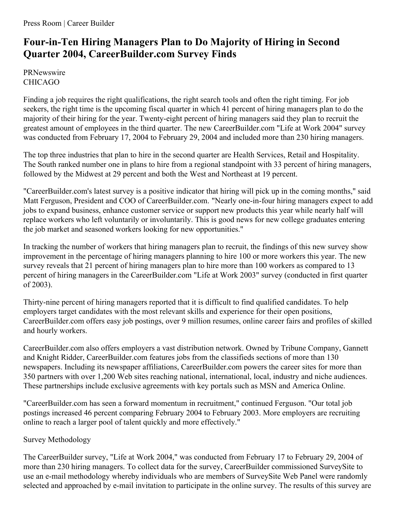## **Four-in-Ten Hiring Managers Plan to Do Majority of Hiring in Second Quarter 2004, CareerBuilder.com Survey Finds**

**PRNewswire** CHICAGO

Finding a job requires the right qualifications, the right search tools and often the right timing. For job seekers, the right time is the upcoming fiscal quarter in which 41 percent of hiring managers plan to do the majority of their hiring for the year. Twenty-eight percent of hiring managers said they plan to recruit the greatest amount of employees in the third quarter. The new CareerBuilder.com "Life at Work 2004" survey was conducted from February 17, 2004 to February 29, 2004 and included more than 230 hiring managers.

The top three industries that plan to hire in the second quarter are Health Services, Retail and Hospitality. The South ranked number one in plans to hire from a regional standpoint with 33 percent of hiring managers, followed by the Midwest at 29 percent and both the West and Northeast at 19 percent.

"CareerBuilder.com's latest survey is a positive indicator that hiring will pick up in the coming months," said Matt Ferguson, President and COO of CareerBuilder.com. "Nearly one-in-four hiring managers expect to add jobs to expand business, enhance customer service or support new products this year while nearly half will replace workers who left voluntarily or involuntarily. This is good news for new college graduates entering the job market and seasoned workers looking for new opportunities."

In tracking the number of workers that hiring managers plan to recruit, the findings of this new survey show improvement in the percentage of hiring managers planning to hire 100 or more workers this year. The new survey reveals that 21 percent of hiring managers plan to hire more than 100 workers as compared to 13 percent of hiring managers in the CareerBuilder.com "Life at Work 2003" survey (conducted in first quarter of 2003).

Thirty-nine percent of hiring managers reported that it is difficult to find qualified candidates. To help employers target candidates with the most relevant skills and experience for their open positions, CareerBuilder.com offers easy job postings, over 9 million resumes, online career fairs and profiles of skilled and hourly workers.

CareerBuilder.com also offers employers a vast distribution network. Owned by Tribune Company, Gannett and Knight Ridder, CareerBuilder.com features jobs from the classifieds sections of more than 130 newspapers. Including its newspaper affiliations, CareerBuilder.com powers the career sites for more than 350 partners with over 1,200 Web sites reaching national, international, local, industry and niche audiences. These partnerships include exclusive agreements with key portals such as MSN and America Online.

"CareerBuilder.com has seen a forward momentum in recruitment," continued Ferguson. "Our total job postings increased 46 percent comparing February 2004 to February 2003. More employers are recruiting online to reach a larger pool of talent quickly and more effectively."

## Survey Methodology

The CareerBuilder survey, "Life at Work 2004," was conducted from February 17 to February 29, 2004 of more than 230 hiring managers. To collect data for the survey, CareerBuilder commissioned SurveySite to use an e-mail methodology whereby individuals who are members of SurveySite Web Panel were randomly selected and approached by e-mail invitation to participate in the online survey. The results of this survey are